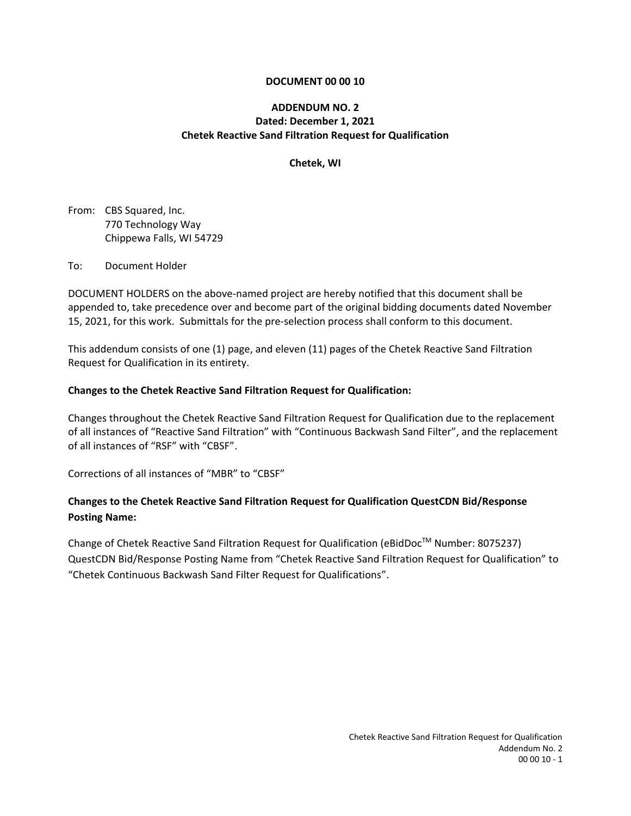#### **DOCUMENT 00 00 10**

### **ADDENDUM NO. 2 Dated: December 1, 2021 Chetek Reactive Sand Filtration Request for Qualification**

#### **Chetek, WI**

From: CBS Squared, Inc. 770 Technology Way Chippewa Falls, WI 54729

To: Document Holder

DOCUMENT HOLDERS on the above-named project are hereby notified that this document shall be appended to, take precedence over and become part of the original bidding documents dated November 15, 2021, for this work. Submittals for the pre-selection process shall conform to this document.

This addendum consists of one (1) page, and eleven (11) pages of the Chetek Reactive Sand Filtration Request for Qualification in its entirety.

#### **Changes to the Chetek Reactive Sand Filtration Request for Qualification:**

Changes throughout the Chetek Reactive Sand Filtration Request for Qualification due to the replacement of all instances of "Reactive Sand Filtration" with "Continuous Backwash Sand Filter", and the replacement of all instances of "RSF" with "CBSF".

Corrections of all instances of "MBR" to "CBSF"

### **Changes to the Chetek Reactive Sand Filtration Request for Qualification QuestCDN Bid/Response Posting Name:**

Change of Chetek Reactive Sand Filtration Request for Qualification (eBidDoc™ Number: 8075237) QuestCDN Bid/Response Posting Name from "Chetek Reactive Sand Filtration Request for Qualification" to "Chetek Continuous Backwash Sand Filter Request for Qualifications".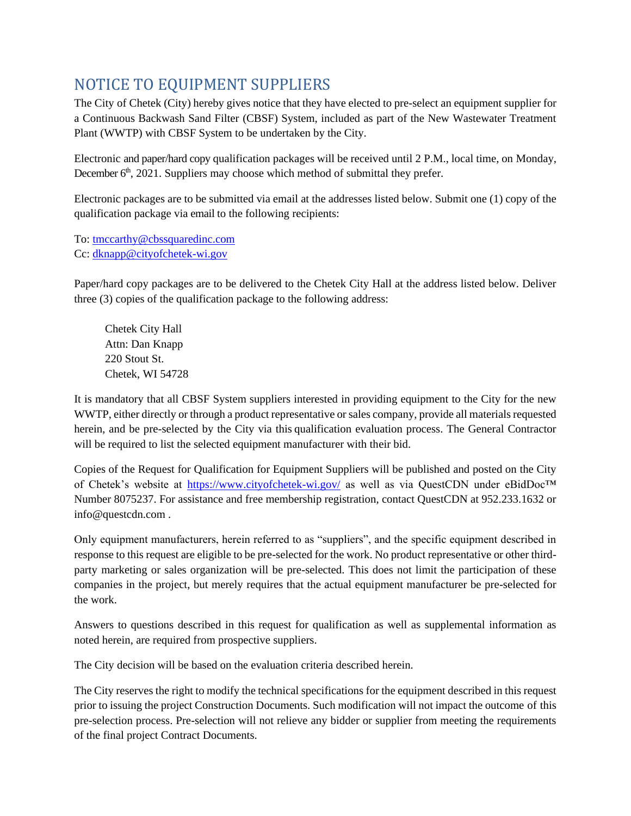# NOTICE TO EQUIPMENT SUPPLIERS

The City of Chetek (City) hereby gives notice that they have elected to pre-select an equipment supplier for a Continuous Backwash Sand Filter (CBSF) System, included as part of the New Wastewater Treatment Plant (WWTP) with CBSF System to be undertaken by the City.

Electronic and paper/hard copy qualification packages will be received until 2 P.M., local time, on Monday, December  $6<sup>th</sup>$ , 2021. Suppliers may choose which method of submittal they prefer.

Electronic packages are to be submitted via email at the addresses listed below. Submit one (1) copy of the qualification package via email to the following recipients:

To: [tmccarthy@cbssquaredinc.com](mailto:tmccarthy@cbssquaredinc.com) Cc: [dknapp@cityofchetek-wi.gov](mailto:dknapp@cityofchetek-wi.gov)

Paper/hard copy packages are to be delivered to the Chetek City Hall at the address listed below. Deliver three (3) copies of the qualification package to the following address:

Chetek City Hall Attn: Dan Knapp 220 Stout St. Chetek, WI 54728

It is mandatory that all CBSF System suppliers interested in providing equipment to the City for the new WWTP, either directly or through a product representative or sales company, provide all materials requested herein, and be pre-selected by the City via this qualification evaluation process. The General Contractor will be required to list the selected equipment manufacturer with their bid.

Copies of the Request for Qualification for Equipment Suppliers will be published and posted on the City of Chetek's website at <https://www.cityofchetek-wi.gov/> as well as via QuestCDN under eBidDoc™ Number 8075237. For assistance and free membership registration, contact QuestCDN at 952.233.1632 or info@questcdn.com .

Only equipment manufacturers, herein referred to as "suppliers", and the specific equipment described in response to this request are eligible to be pre-selected for the work. No product representative or other thirdparty marketing or sales organization will be pre-selected. This does not limit the participation of these companies in the project, but merely requires that the actual equipment manufacturer be pre-selected for the work.

Answers to questions described in this request for qualification as well as supplemental information as noted herein, are required from prospective suppliers.

The City decision will be based on the evaluation criteria described herein.

The City reserves the right to modify the technical specifications for the equipment described in this request prior to issuing the project Construction Documents. Such modification will not impact the outcome of this pre-selection process. Pre-selection will not relieve any bidder or supplier from meeting the requirements of the final project Contract Documents.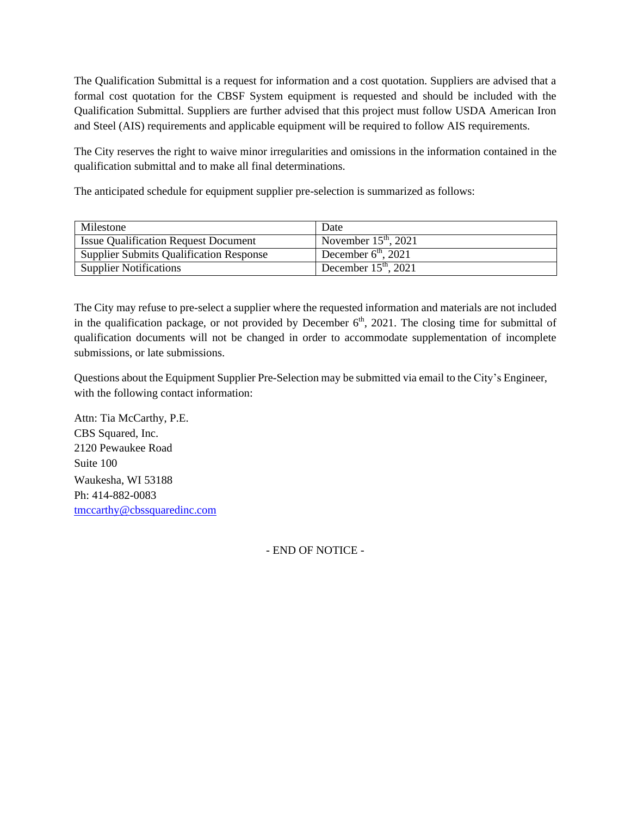The Qualification Submittal is a request for information and a cost quotation. Suppliers are advised that a formal cost quotation for the CBSF System equipment is requested and should be included with the Qualification Submittal. Suppliers are further advised that this project must follow USDA American Iron and Steel (AIS) requirements and applicable equipment will be required to follow AIS requirements.

The City reserves the right to waive minor irregularities and omissions in the information contained in the qualification submittal and to make all final determinations.

The anticipated schedule for equipment supplier pre-selection is summarized as follows:

| Milestone                                      | Date                   |
|------------------------------------------------|------------------------|
| <b>Issue Qualification Request Document</b>    | November $15th$ , 2021 |
| <b>Supplier Submits Qualification Response</b> | December $6th$ , 2021  |
| Supplier Notifications                         | December $15th$ , 2021 |

The City may refuse to pre-select a supplier where the requested information and materials are not included in the qualification package, or not provided by December  $6<sup>th</sup>$ , 2021. The closing time for submittal of qualification documents will not be changed in order to accommodate supplementation of incomplete submissions, or late submissions.

Questions about the Equipment Supplier Pre-Selection may be submitted via email to the City's Engineer, with the following contact information:

Attn: Tia McCarthy, P.E. CBS Squared, Inc. 2120 Pewaukee Road Suite 100 Waukesha, WI 53188 Ph: 414-882-0083 [tmccarthy@cbssquaredinc.com](mailto:tmccarthy@cbssquaredinc.com)

- END OF NOTICE -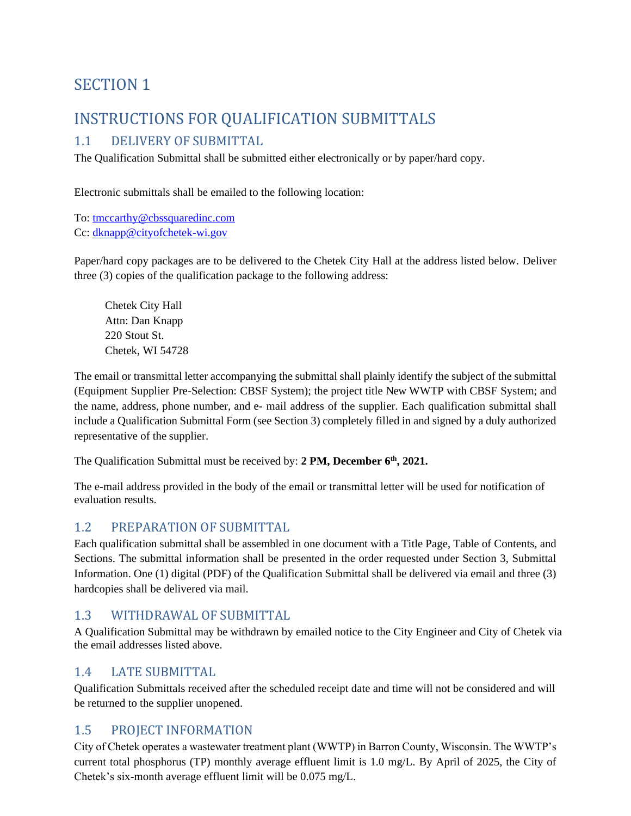# SECTION 1

# INSTRUCTIONS FOR QUALIFICATION SUBMITTALS

### 1.1 DELIVERY OF SUBMITTAL

The Qualification Submittal shall be submitted either electronically or by paper/hard copy.

Electronic submittals shall be emailed to the following location:

To: [tmccarthy@cbssquaredinc.com](mailto:tmccarthy@cbssquaredinc.com) Cc: [dknapp@cityofchetek-wi.gov](mailto:dknapp@cityofchetek-wi.gov)

Paper/hard copy packages are to be delivered to the Chetek City Hall at the address listed below. Deliver three (3) copies of the qualification package to the following address:

Chetek City Hall Attn: Dan Knapp 220 Stout St. Chetek, WI 54728

The email or transmittal letter accompanying the submittal shall plainly identify the subject of the submittal (Equipment Supplier Pre-Selection: CBSF System); the project title New WWTP with CBSF System; and the name, address, phone number, and e- mail address of the supplier. Each qualification submittal shall include a Qualification Submittal Form (see Section 3) completely filled in and signed by a duly authorized representative of the supplier.

The Qualification Submittal must be received by: **2 PM, December 6th, 2021.**

The e-mail address provided in the body of the email or transmittal letter will be used for notification of evaluation results.

### 1.2 PREPARATION OF SUBMITTAL

Each qualification submittal shall be assembled in one document with a Title Page, Table of Contents, and Sections. The submittal information shall be presented in the order requested under Section 3, Submittal Information. One (1) digital (PDF) of the Qualification Submittal shall be delivered via email and three (3) hardcopies shall be delivered via mail.

### 1.3 WITHDRAWAL OF SUBMITTAL

A Qualification Submittal may be withdrawn by emailed notice to the City Engineer and City of Chetek via the email addresses listed above.

### 1.4 LATE SUBMITTAL

Qualification Submittals received after the scheduled receipt date and time will not be considered and will be returned to the supplier unopened.

## 1.5 PROJECT INFORMATION

City of Chetek operates a wastewater treatment plant (WWTP) in Barron County, Wisconsin. The WWTP's current total phosphorus (TP) monthly average effluent limit is 1.0 mg/L. By April of 2025, the City of Chetek's six-month average effluent limit will be 0.075 mg/L.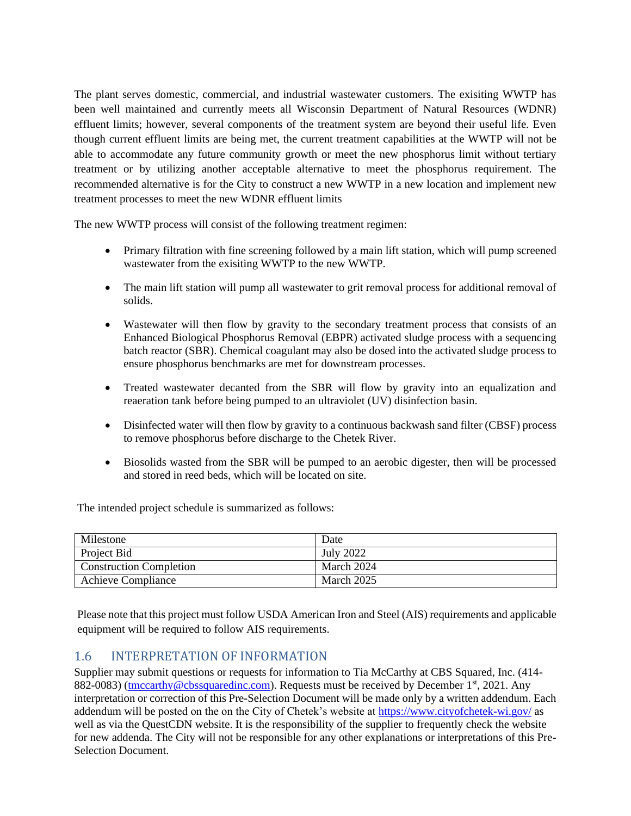The plant serves domestic, commercial, and industrial wastewater customers. The exisiting WWTP has been well maintained and currently meets all Wisconsin Department of Natural Resources (WDNR) effluent limits; however, several components of the treatment system are beyond their useful life. Even though current effluent limits are being met, the current treatment capabilities at the WWTP will not be able to accommodate any future community growth or meet the new phosphorus limit without tertiary treatment or by utilizing another acceptable alternative to meet the phosphorus requirement. The recommended alternative is for the City to construct a new WWTP in a new location and implement new treatment processes to meet the new WDNR effluent limits

The new WWTP process will consist of the following treatment regimen:

- Primary filtration with fine screening followed by a main lift station, which will pump screened wastewater from the exisiting WWTP to the new WWTP.
- The main lift station will pump all wastewater to grit removal process for additional removal of solids.
- Wastewater will then flow by gravity to the secondary treatment process that consists of an Enhanced Biological Phosphorus Removal (EBPR) activated sludge process with a sequencing batch reactor (SBR). Chemical coagulant may also be dosed into the activated sludge process to ensure phosphorus benchmarks are met for downstream processes.
- Treated wastewater decanted from the SBR will flow by gravity into an equalization and reaeration tank before being pumped to an ultraviolet (UV) disinfection basin.
- Disinfected water will then flow by gravity to a continuous backwash sand filter (CBSF) process to remove phosphorus before discharge to the Chetek River.
- Biosolids wasted from the SBR will be pumped to an aerobic digester, then will be processed and stored in reed beds, which will be located on site.

The intended project schedule is summarized as follows:

| Milestone                      | Date              |
|--------------------------------|-------------------|
| Project Bid                    | July 2022         |
| <b>Construction Completion</b> | March 2024        |
| <b>Achieve Compliance</b>      | <b>March 2025</b> |

Please note that this project must follow USDA American Iron and Steel (AIS) requirements and applicable equipment will be required to follow AIS requirements.

### 1.6 INTERPRETATION OF INFORMATION

Supplier may submit questions or requests for information to Tia McCarthy at CBS Squared, Inc. (414- 882-0083) [\(tmccarthy@cbssquaredinc.com\)](mailto:tmccarthy@cbssquaredinc.com). Requests must be received by December  $1<sup>st</sup>$ , 2021. Any interpretation or correction of this Pre-Selection Document will be made only by a written addendum. Each addendum will be posted on the on the City of Chetek's website at<https://www.cityofchetek-wi.gov/> as well as via the QuestCDN website. It is the responsibility of the supplier to frequently check the website for new addenda. The City will not be responsible for any other explanations or interpretations of this Pre-Selection Document.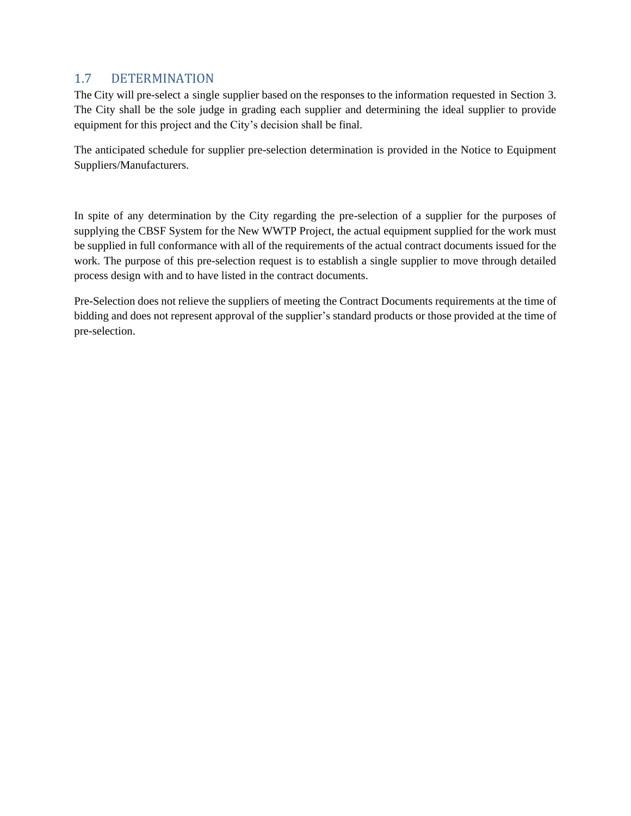### 1.7 DETERMINATION

The City will pre-select a single supplier based on the responses to the information requested in Section 3. The City shall be the sole judge in grading each supplier and determining the ideal supplier to provide equipment for this project and the City's decision shall be final.

The anticipated schedule for supplier pre-selection determination is provided in the Notice to Equipment Suppliers/Manufacturers.

In spite of any determination by the City regarding the pre-selection of a supplier for the purposes of supplying the CBSF System for the New WWTP Project, the actual equipment supplied for the work must be supplied in full conformance with all of the requirements of the actual contract documents issued for the work. The purpose of this pre-selection request is to establish a single supplier to move through detailed process design with and to have listed in the contract documents.

Pre-Selection does not relieve the suppliers of meeting the Contract Documents requirements at the time of bidding and does not represent approval of the supplier's standard products or those provided at the time of pre-selection.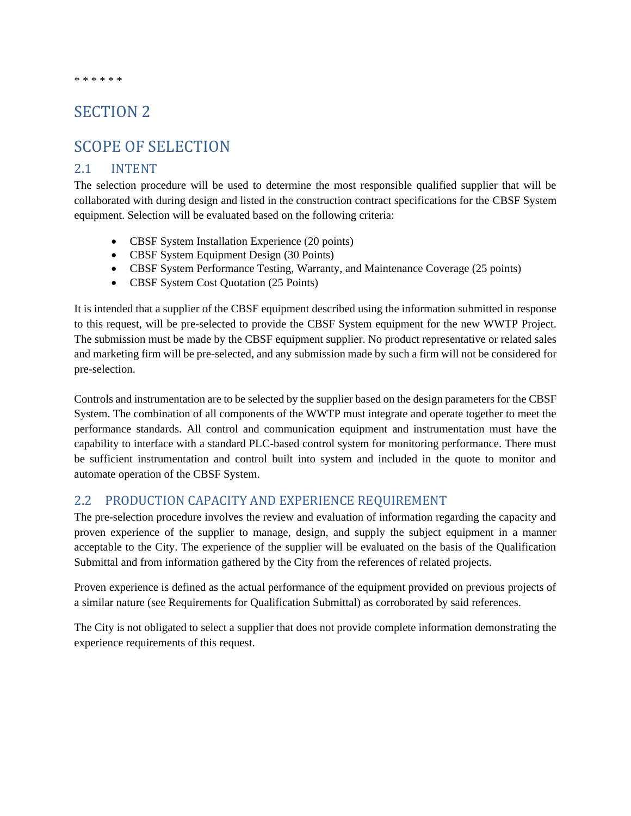#### \* \* \* \* \* \*

## SECTION 2

## SCOPE OF SELECTION

### 2.1 INTENT

The selection procedure will be used to determine the most responsible qualified supplier that will be collaborated with during design and listed in the construction contract specifications for the CBSF System equipment. Selection will be evaluated based on the following criteria:

- CBSF System Installation Experience (20 points)
- CBSF System Equipment Design (30 Points)
- CBSF System Performance Testing, Warranty, and Maintenance Coverage (25 points)
- CBSF System Cost Quotation (25 Points)

It is intended that a supplier of the CBSF equipment described using the information submitted in response to this request, will be pre-selected to provide the CBSF System equipment for the new WWTP Project. The submission must be made by the CBSF equipment supplier. No product representative or related sales and marketing firm will be pre-selected, and any submission made by such a firm will not be considered for pre-selection.

Controls and instrumentation are to be selected by the supplier based on the design parameters for the CBSF System. The combination of all components of the WWTP must integrate and operate together to meet the performance standards. All control and communication equipment and instrumentation must have the capability to interface with a standard PLC-based control system for monitoring performance. There must be sufficient instrumentation and control built into system and included in the quote to monitor and automate operation of the CBSF System.

### 2.2 PRODUCTION CAPACITY AND EXPERIENCE REQUIREMENT

The pre-selection procedure involves the review and evaluation of information regarding the capacity and proven experience of the supplier to manage, design, and supply the subject equipment in a manner acceptable to the City. The experience of the supplier will be evaluated on the basis of the Qualification Submittal and from information gathered by the City from the references of related projects.

Proven experience is defined as the actual performance of the equipment provided on previous projects of a similar nature (see Requirements for Qualification Submittal) as corroborated by said references.

The City is not obligated to select a supplier that does not provide complete information demonstrating the experience requirements of this request.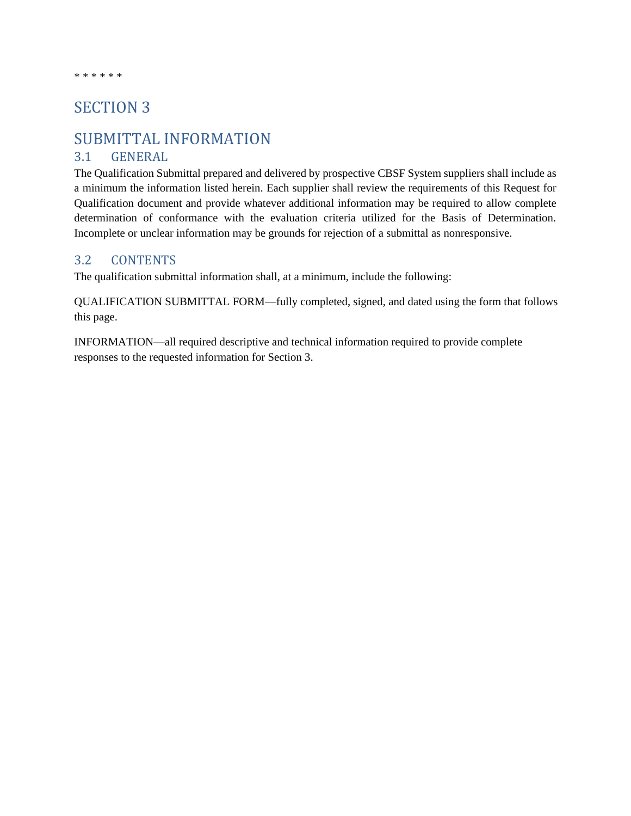## SECTION 3

## SUBMITTAL INFORMATION

### 3.1 GENERAL

The Qualification Submittal prepared and delivered by prospective CBSF System suppliers shall include as a minimum the information listed herein. Each supplier shall review the requirements of this Request for Qualification document and provide whatever additional information may be required to allow complete determination of conformance with the evaluation criteria utilized for the Basis of Determination. Incomplete or unclear information may be grounds for rejection of a submittal as nonresponsive.

### 3.2 CONTENTS

The qualification submittal information shall, at a minimum, include the following:

QUALIFICATION SUBMITTAL FORM—fully completed, signed, and dated using the form that follows this page.

INFORMATION—all required descriptive and technical information required to provide complete responses to the requested information for Section 3.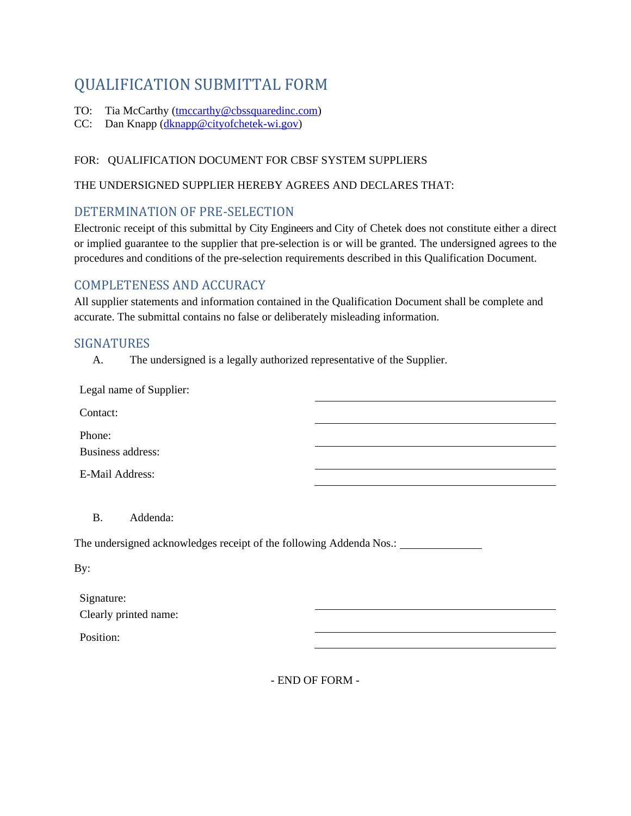# QUALIFICATION SUBMITTAL FORM

- TO: Tia McCarthy [\(tmccarthy@cbssquaredinc.com\)](mailto:tmccarthy@cbssquaredinc.com)
- CC: Dan Knapp [\(dknapp@cityofchetek-wi.gov\)](mailto:dknapp@cityofchetek-wi.gov)

### FOR: QUALIFICATION DOCUMENT FOR CBSF SYSTEM SUPPLIERS

### THE UNDERSIGNED SUPPLIER HEREBY AGREES AND DECLARES THAT:

### DETERMINATION OF PRE-SELECTION

Electronic receipt of this submittal by City Engineers and City of Chetek does not constitute either a direct or implied guarantee to the supplier that pre-selection is or will be granted. The undersigned agrees to the procedures and conditions of the pre-selection requirements described in this Qualification Document.

### COMPLETENESS AND ACCURACY

All supplier statements and information contained in the Qualification Document shall be complete and accurate. The submittal contains no false or deliberately misleading information.

### SIGNATURES

A. The undersigned is a legally authorized representative of the Supplier.

B. Addenda:

The undersigned acknowledges receipt of the following Addenda Nos.: \_\_\_\_\_\_\_\_\_\_\_\_

By:

| Signature:            |
|-----------------------|
| Clearly printed name: |

Position:

- END OF FORM -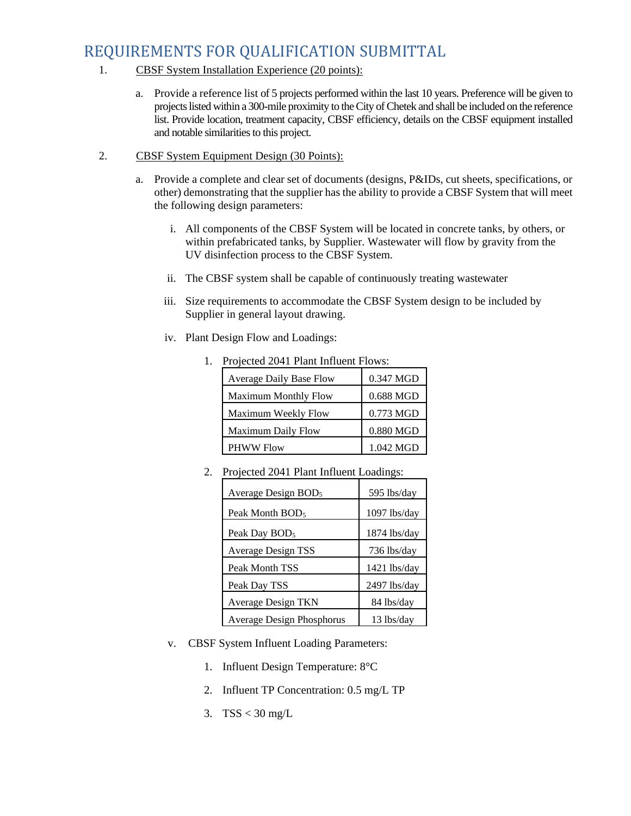# REQUIREMENTS FOR QUALIFICATION SUBMITTAL

- 1. CBSF System Installation Experience (20 points):
	- a. Provide a reference list of 5 projects performed within the last 10 years. Preference will be given to projects listed within a 300-mile proximity to the City of Chetek and shall be included on the reference list. Provide location, treatment capacity, CBSF efficiency, details on the CBSF equipment installed and notable similarities to this project.
- 2. CBSF System Equipment Design (30 Points):
	- a. Provide a complete and clear set of documents (designs, P&IDs, cut sheets, specifications, or other) demonstrating that the supplier has the ability to provide a CBSF System that will meet the following design parameters:
		- i. All components of the CBSF System will be located in concrete tanks, by others, or within prefabricated tanks, by Supplier. Wastewater will flow by gravity from the UV disinfection process to the CBSF System.
		- ii. The CBSF system shall be capable of continuously treating wastewater
		- iii. Size requirements to accommodate the CBSF System design to be included by Supplier in general layout drawing.
		- iv. Plant Design Flow and Loadings:

| Projected 2041 Plant Influent Flows: |           |  |
|--------------------------------------|-----------|--|
| Average Daily Base Flow              | 0.347 MGD |  |
| <b>Maximum Monthly Flow</b>          | 0.688 MGD |  |
| Maximum Weekly Flow                  | 0.773 MGD |  |
| <b>Maximum Daily Flow</b>            | 0.880 MGD |  |
| <b>PHWW Flow</b>                     | 1.042 MGD |  |

2. Projected 2041 Plant Influent Loadings:

| $110$  ceteu $2011$ I kant minuent Eouthings. |                |
|-----------------------------------------------|----------------|
| Average Design BOD <sub>5</sub>               | 595 lbs/day    |
| Peak Month BOD <sub>5</sub>                   | 1097 lbs/day   |
| Peak Day BOD <sub>5</sub>                     | $1874$ lbs/day |
| <b>Average Design TSS</b>                     | 736 lbs/day    |
| Peak Month TSS                                | $1421$ lbs/day |
| Peak Day TSS                                  | 2497 lbs/day   |
| <b>Average Design TKN</b>                     | 84 lbs/day     |
| Average Design Phosphorus                     | 13 lbs/day     |

- v. CBSF System Influent Loading Parameters:
	- 1. Influent Design Temperature: 8°C
	- 2. Influent TP Concentration: 0.5 mg/L TP
	- 3. TSS < 30 mg/L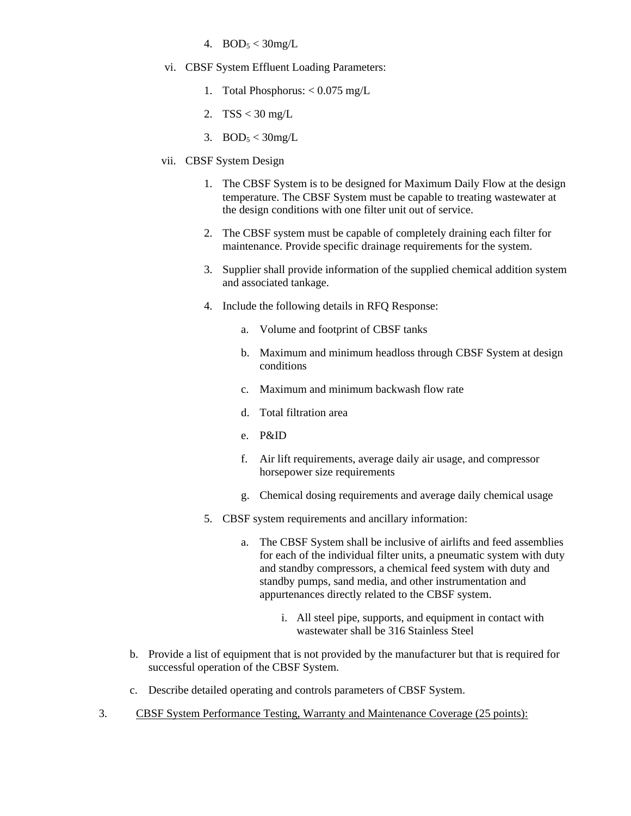- 4.  $BOD_5 < 30mg/L$
- vi. CBSF System Effluent Loading Parameters:
	- 1. Total Phosphorus: < 0.075 mg/L
	- 2. TSS < 30 mg/L
	- 3.  $BOD<sub>5</sub> < 30$ mg/L
- vii. CBSF System Design
	- 1. The CBSF System is to be designed for Maximum Daily Flow at the design temperature. The CBSF System must be capable to treating wastewater at the design conditions with one filter unit out of service.
	- 2. The CBSF system must be capable of completely draining each filter for maintenance. Provide specific drainage requirements for the system.
	- 3. Supplier shall provide information of the supplied chemical addition system and associated tankage.
	- 4. Include the following details in RFQ Response:
		- a. Volume and footprint of CBSF tanks
		- b. Maximum and minimum headloss through CBSF System at design conditions
		- c. Maximum and minimum backwash flow rate
		- d. Total filtration area
		- e. P&ID
		- f. Air lift requirements, average daily air usage, and compressor horsepower size requirements
		- g. Chemical dosing requirements and average daily chemical usage
	- 5. CBSF system requirements and ancillary information:
		- a. The CBSF System shall be inclusive of airlifts and feed assemblies for each of the individual filter units, a pneumatic system with duty and standby compressors, a chemical feed system with duty and standby pumps, sand media, and other instrumentation and appurtenances directly related to the CBSF system.
			- i. All steel pipe, supports, and equipment in contact with wastewater shall be 316 Stainless Steel
- b. Provide a list of equipment that is not provided by the manufacturer but that is required for successful operation of the CBSF System.
- c. Describe detailed operating and controls parameters of CBSF System.
- 3. CBSF System Performance Testing, Warranty and Maintenance Coverage (25 points):